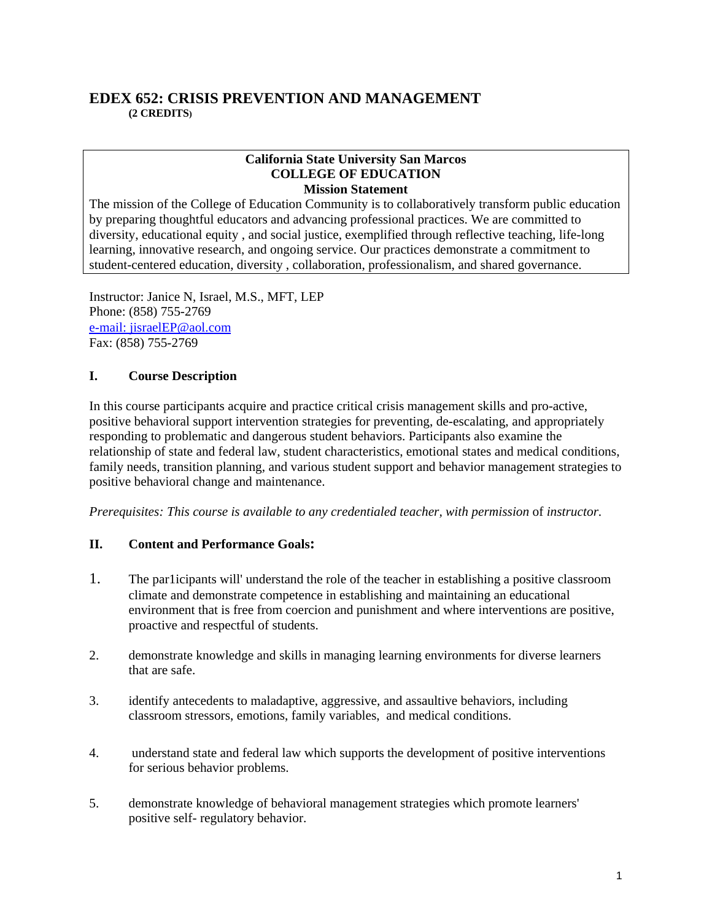## **EDEX 652: CRISIS PREVENTION AND MANAGEMENT (2 CREDITS)**

#### **California State University San Marcos COLLEGE OF EDUCATION Mission Statement**

The mission of the College of Education Community is to collaboratively transform public education by preparing thoughtful educators and advancing professional practices. We are committed to diversity, educational equity , and social justice, exemplified through reflective teaching, life-long learning, innovative research, and ongoing service. Our practices demonstrate a commitment to student-centered education, diversity , collaboration, professionalism, and shared governance.

Instructor: Janice N, Israel, M.S., MFT, LEP Phone: (858) 755-2769 e-mail: jisraelEP@aol.com Fax: (858) 755-2769

## **I. Course Description**

In this course participants acquire and practice critical crisis management skills and pro-active, positive behavioral support intervention strategies for preventing, de-escalating, and appropriately responding to problematic and dangerous student behaviors. Participants also examine the relationship of state and federal law, student characteristics, emotional states and medical conditions, family needs, transition planning, and various student support and behavior management strategies to positive behavioral change and maintenance.

*Prerequisites: This course is available to any credentialed teacher, with permission of instructor.* 

#### **II. Content and Performance Goals:**

- 1. The par1icipants will' understand the role of the teacher in establishing a positive classroom climate and demonstrate competence in establishing and maintaining an educational environment that is free from coercion and punishment and where interventions are positive, proactive and respectful of students.
- 2. demonstrate knowledge and skills in managing learning environments for diverse learners that are safe.
- 3. identify antecedents to maladaptive, aggressive, and assaultive behaviors, including classroom stressors, emotions, family variables, and medical conditions.
- 4. understand state and federal law which supports the development of positive interventions for serious behavior problems.
- 5. demonstrate knowledge of behavioral management strategies which promote learners' positive self- regulatory behavior.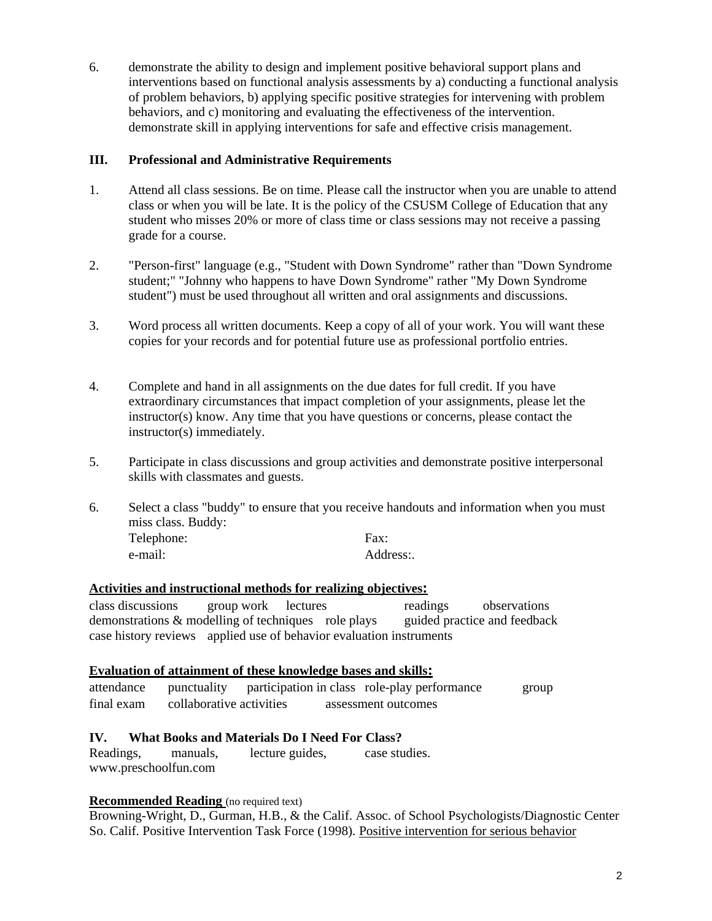6. demonstrate the ability to design and implement positive behavioral support plans and interventions based on functional analysis assessments by a) conducting a functional analysis of problem behaviors, b) applying specific positive strategies for intervening with problem behaviors, and c) monitoring and evaluating the effectiveness of the intervention. demonstrate skill in applying interventions for safe and effective crisis management.

#### **III. Professional and Administrative Requirements**

- 1. Attend all class sessions. Be on time. Please call the instructor when you are unable to attend class or when you will be late. It is the policy of the CSUSM College of Education that any student who misses 20% or more of class time or class sessions may not receive a passing grade for a course.
- 2. "Person-first" language (e.g., "Student with Down Syndrome" rather than "Down Syndrome student;" "Johnny who happens to have Down Syndrome" rather "My Down Syndrome student") must be used throughout all written and oral assignments and discussions.
- 3. Word process all written documents. Keep a copy of all of your work. You will want these copies for your records and for potential future use as professional portfolio entries.
- 4. Complete and hand in all assignments on the due dates for full credit. If you have extraordinary circumstances that impact completion of your assignments, please let the instructor(s) know. Any time that you have questions or concerns, please contact the instructor(s) immediately.
- 5. Participate in class discussions and group activities and demonstrate positive interpersonal skills with classmates and guests.
- 6. Select a class "buddy" to ensure that you receive handouts and information when you must miss class. Buddy: Telephone: Fax: e-mail: Address:.

#### **Activities and instructional methods for realizing objectives:**

class discussions group work lectures readings observations demonstrations & modelling of techniques role plays guided practice and feedback case history reviews applied use of behavior evaluation instruments

#### **Evaluation of attainment of these knowledge bases and skills:**

attendance punctuality participation in class role-play performance group final exam collaborative activities assessment outcomes

#### **IV. What Books and Materials Do I Need For Class?**

Readings, manuals, lecture guides, case studies. www.preschoolfun.com

#### **Recommended Reading** (no required text)

Browning-Wright, D., Gurman, H.B., & the Calif. Assoc. of School Psychologists/Diagnostic Center So. Calif. Positive Intervention Task Force (1998). Positive intervention for serious behavior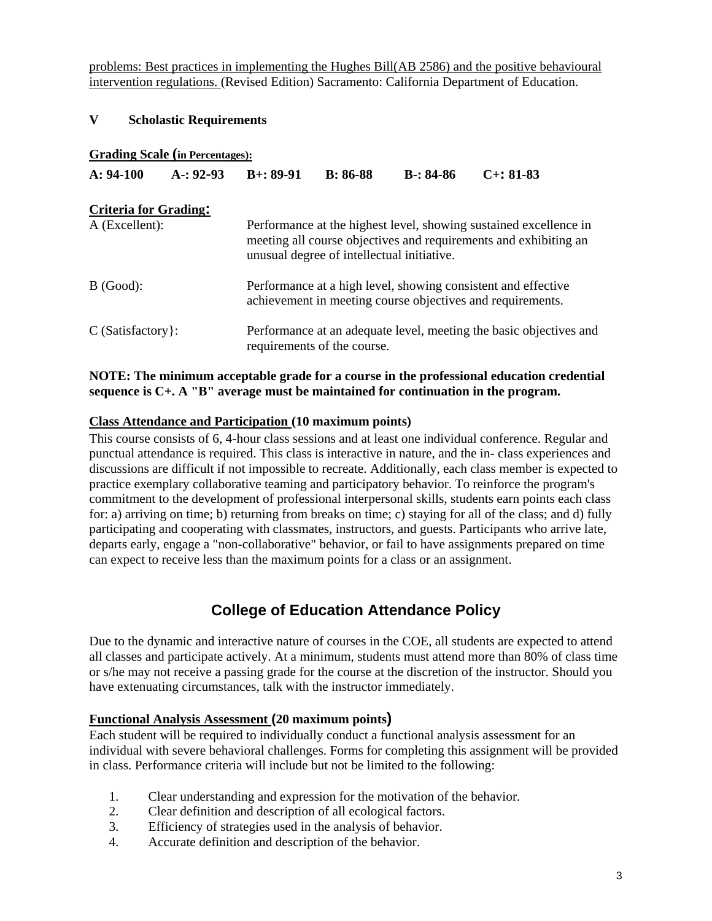problems: Best practices in implementing the Hughes Bill(AB 2586) and the positive behavioural intervention regulations. (Revised Edition) Sacramento: California Department of Education.

#### **V Scholastic Requirements**

#### **Grading Scale (in Percentages):**

| $A: 94-100$                  | $A - 92 - 93$ | $B+: 89-91$                                                                                                                                                                         | <b>B:</b> 86-88 | $B-: 84-86$ | $C_{+}$ : 81-83 |  |
|------------------------------|---------------|-------------------------------------------------------------------------------------------------------------------------------------------------------------------------------------|-----------------|-------------|-----------------|--|
| <b>Criteria for Grading:</b> |               |                                                                                                                                                                                     |                 |             |                 |  |
| A (Excellent):               |               | Performance at the highest level, showing sustained excellence in<br>meeting all course objectives and requirements and exhibiting an<br>unusual degree of intellectual initiative. |                 |             |                 |  |
| B (Good):                    |               | Performance at a high level, showing consistent and effective<br>achievement in meeting course objectives and requirements.                                                         |                 |             |                 |  |
| $C$ (Satisfactory $\}$ :     |               | Performance at an adequate level, meeting the basic objectives and<br>requirements of the course.                                                                                   |                 |             |                 |  |

#### **NOTE: The minimum acceptable grade for a course in the professional education credential sequence is C+. A "B" average must be maintained for continuation in the program.**

#### **Class Attendance and Participation (10 maximum points)**

This course consists of 6, 4-hour class sessions and at least one individual conference. Regular and punctual attendance is required. This class is interactive in nature, and the in- class experiences and discussions are difficult if not impossible to recreate. Additionally, each class member is expected to practice exemplary collaborative teaming and participatory behavior. To reinforce the program's commitment to the development of professional interpersonal skills, students earn points each class for: a) arriving on time; b) returning from breaks on time; c) staying for all of the class; and d) fully participating and cooperating with classmates, instructors, and guests. Participants who arrive late, departs early, engage a "non-collaborative" behavior, or fail to have assignments prepared on time can expect to receive less than the maximum points for a class or an assignment.

# **College of Education Attendance Policy**

Due to the dynamic and interactive nature of courses in the COE, all students are expected to attend all classes and participate actively. At a minimum, students must attend more than 80% of class time or s/he may not receive a passing grade for the course at the discretion of the instructor. Should you have extenuating circumstances, talk with the instructor immediately.

#### **Functional Analysis Assessment (20 maximum points)**

Each student will be required to individually conduct a functional analysis assessment for an individual with severe behavioral challenges. Forms for completing this assignment will be provided in class. Performance criteria will include but not be limited to the following:

- 1. Clear understanding and expression for the motivation of the behavior.
- 2. Clear definition and description of all ecological factors.
- 3. Efficiency of strategies used in the analysis of behavior.
- 4. Accurate definition and description of the behavior.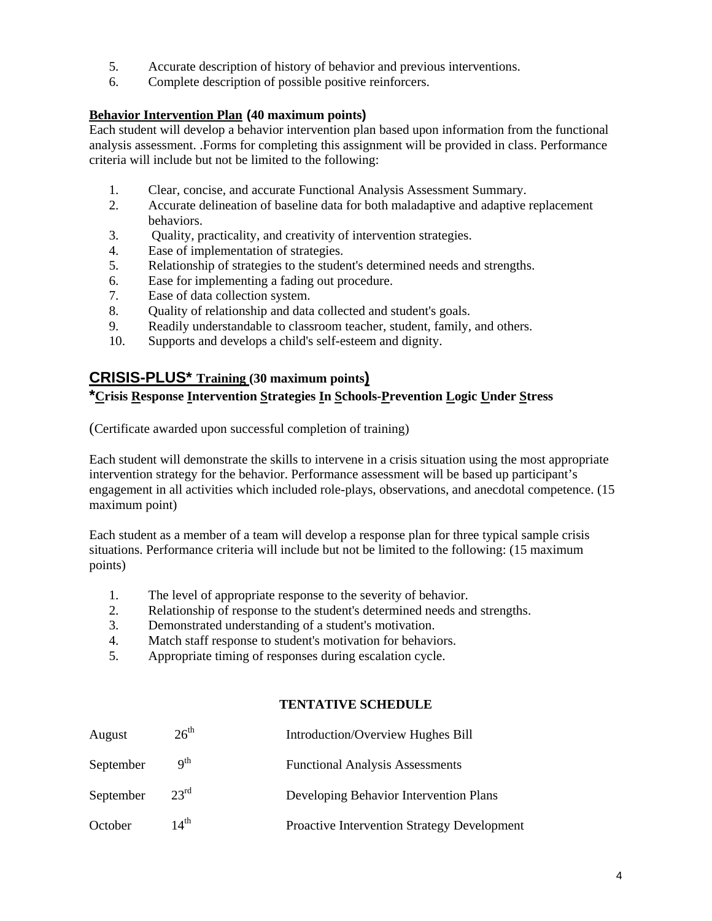- 5. Accurate description of history of behavior and previous interventions.
- 6. Complete description of possible positive reinforcers.

## **Behavior Intervention Plan (40 maximum points)**

Each student will develop a behavior intervention plan based upon information from the functional analysis assessment. .Forms for completing this assignment will be provided in class. Performance criteria will include but not be limited to the following:

- 1. Clear, concise, and accurate Functional Analysis Assessment Summary.
- 2. Accurate delineation of baseline data for both maladaptive and adaptive replacement behaviors.
- 3. Quality, practicality, and creativity of intervention strategies.
- 4. Ease of implementation of strategies.
- 5. Relationship of strategies to the student's determined needs and strengths.
- 6. Ease for implementing a fading out procedure.
- 7. Ease of data collection system.
- 8. Quality of relationship and data collected and student's goals.
- 9. Readily understandable to classroom teacher, student, family, and others.
- 10. Supports and develops a child's self-esteem and dignity.

# **CRISIS-PLUS\* Training (30 maximum points)**

# **\*Crisis Response Intervention Strategies In Schools-Prevention Logic Under Stress**

(Certificate awarded upon successful completion of training)

Each student will demonstrate the skills to intervene in a crisis situation using the most appropriate intervention strategy for the behavior. Performance assessment will be based up participant's engagement in all activities which included role-plays, observations, and anecdotal competence. (15 maximum point)

Each student as a member of a team will develop a response plan for three typical sample crisis situations. Performance criteria will include but not be limited to the following: (15 maximum points)

- 1. The level of appropriate response to the severity of behavior.
- 2. Relationship of response to the student's determined needs and strengths.
- 3. Demonstrated understanding of a student's motivation.
- 4. Match staff response to student's motivation for behaviors.
- 5. Appropriate timing of responses during escalation cycle.

#### **TENTATIVE SCHEDULE**

| August    | $26^{\text{th}}$ | Introduction/Overview Hughes Bill           |
|-----------|------------------|---------------------------------------------|
| September | $Q^{th}$         | <b>Functional Analysis Assessments</b>      |
| September | $23^{\text{rd}}$ | Developing Behavior Intervention Plans      |
| October   | $14^{\text{th}}$ | Proactive Intervention Strategy Development |